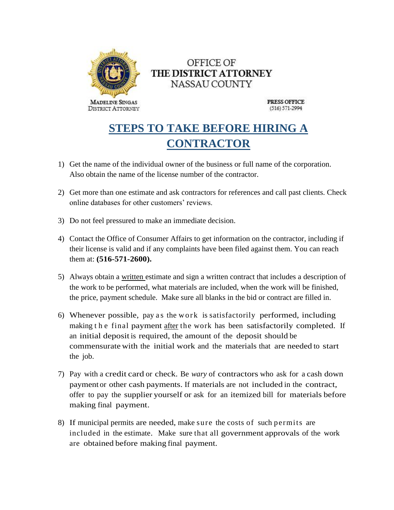

## OFFICE OF THE DISTRICT ATTORNEY NASSAU COUNTY

**PRESS OFFICE**  $(516) 571 - 2994$ 

## **STEPS TO TAKE BEFORE HIRING A CONTRACTOR**

- 1) Get the name of the individual owner of the business or full name of the corporation. Also obtain the name of the license number of the contractor.
- 2) Get more than one estimate and ask contractors for references and call past clients. Check online databases for other customers' reviews.
- 3) Do not feel pressured to make an immediate decision.
- 4) Contact the Office of Consumer Affairs to get information on the contractor, including if their license is valid and if any complaints have been filed against them. You can reach them at: **(516-571-2600).**
- 5) Always obtain a written estimate and sign a written contract that includes a description of the work to be performed, what materials are included, when the work will be finished, the price, payment schedule. Make sure all blanks in the bid or contract are filled in.
- 6) Whenever possible, pay as the work is satisfactorily performed, including making t h e final payment after the work has been satisfactorily completed. If an initial deposit is required, the amount of the deposit should be commensurate with the initial work and the materials that are needed to start the job.
- 7) Pay with a credit card or check. Be *wary* of contractors who ask for a cash down payment or other cash payments. If materials are not included in the contract, offer to pay the supplier yourself or ask for an itemized bill for materials before making final payment.
- 8) If municipal permits are needed, make sure the costs of such permits are included in the estimate. Make sure that all government approvals of the work are obtained before making final payment.